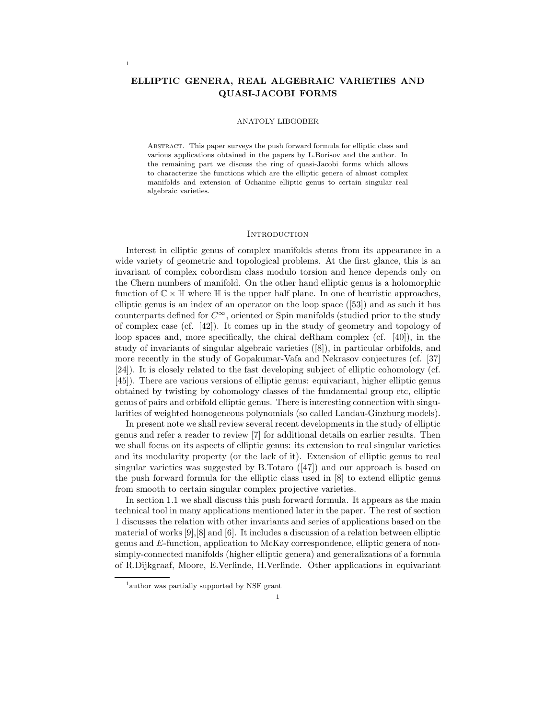# ELLIPTIC GENERA, REAL ALGEBRAIC VARIETIES AND QUASI-JACOBI FORMS

1

#### ANATOLY LIBGOBER

Abstract. This paper surveys the push forward formula for elliptic class and various applications obtained in the papers by L.Borisov and the author. In the remaining part we discuss the ring of quasi-Jacobi forms which allows to characterize the functions which are the elliptic genera of almost complex manifolds and extension of Ochanine elliptic genus to certain singular real algebraic varieties.

## **INTRODUCTION**

Interest in elliptic genus of complex manifolds stems from its appearance in a wide variety of geometric and topological problems. At the first glance, this is an invariant of complex cobordism class modulo torsion and hence depends only on the Chern numbers of manifold. On the other hand elliptic genus is a holomorphic function of  $\mathbb{C} \times \mathbb{H}$  where  $\mathbb{H}$  is the upper half plane. In one of heuristic approaches, elliptic genus is an index of an operator on the loop space ([53]) and as such it has counterparts defined for  $C^{\infty}$ , oriented or Spin manifolds (studied prior to the study of complex case (cf. [42]). It comes up in the study of geometry and topology of loop spaces and, more specifically, the chiral deRham complex (cf. [40]), in the study of invariants of singular algebraic varieties ([8]), in particular orbifolds, and more recently in the study of Gopakumar-Vafa and Nekrasov conjectures (cf. [37] [24]). It is closely related to the fast developing subject of elliptic cohomology (cf. [45]). There are various versions of elliptic genus: equivariant, higher elliptic genus obtained by twisting by cohomology classes of the fundamental group etc, elliptic genus of pairs and orbifold elliptic genus. There is interesting connection with singularities of weighted homogeneous polynomials (so called Landau-Ginzburg models).

In present note we shall review several recent developments in the study of elliptic genus and refer a reader to review [7] for additional details on earlier results. Then we shall focus on its aspects of elliptic genus: its extension to real singular varieties and its modularity property (or the lack of it). Extension of elliptic genus to real singular varieties was suggested by B.Totaro  $(47)$  and our approach is based on the push forward formula for the elliptic class used in [8] to extend elliptic genus from smooth to certain singular complex projective varieties.

In section 1.1 we shall discuss this push forward formula. It appears as the main technical tool in many applications mentioned later in the paper. The rest of section 1 discusses the relation with other invariants and series of applications based on the material of works [9],[8] and [6]. It includes a discussion of a relation between elliptic genus and E-function, application to McKay correspondence, elliptic genera of nonsimply-connected manifolds (higher elliptic genera) and generalizations of a formula of R.Dijkgraaf, Moore, E.Verlinde, H.Verlinde. Other applications in equivariant

<sup>&</sup>lt;sup>1</sup>author was partially supported by NSF grant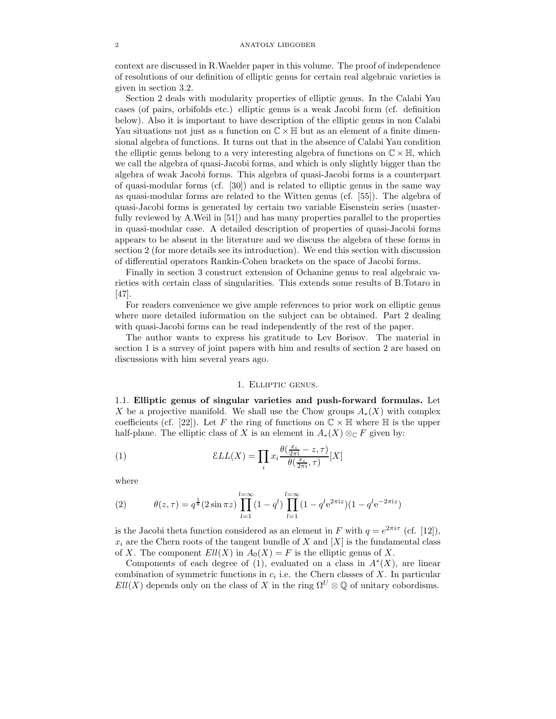context are discussed in R.Waelder paper in this volume. The proof of independence of resolutions of our definition of elliptic genus for certain real algebraic varieties is given in section 3.2.

Section 2 deals with modularity properties of elliptic genus. In the Calabi Yau cases (of pairs, orbifolds etc.) elliptic genus is a weak Jacobi form (cf. definition below). Also it is important to have description of the elliptic genus in non Calabi Yau situations not just as a function on  $\mathbb{C} \times \mathbb{H}$  but as an element of a finite dimensional algebra of functions. It turns out that in the absence of Calabi Yau condition the elliptic genus belong to a very interesting algebra of functions on  $\mathbb{C} \times \mathbb{H}$ , which we call the algebra of quasi-Jacobi forms, and which is only slightly bigger than the algebra of weak Jacobi forms. This algebra of quasi-Jacobi forms is a counterpart of quasi-modular forms (cf. [30]) and is related to elliptic genus in the same way as quasi-modular forms are related to the Witten genus (cf. [55]). The algebra of quasi-Jacobi forms is generated by certain two variable Eisenstein series (masterfully reviewed by A.Weil in [51]) and has many properties parallel to the properties in quasi-modular case. A detailed description of properties of quasi-Jacobi forms appears to be absent in the literature and we discuss the algebra of these forms in section 2 (for more details see its introduction). We end this section with discussion of differential operators Rankin-Cohen brackets on the space of Jacobi forms.

Finally in section 3 construct extension of Ochanine genus to real algebraic varieties with certain class of singularities. This extends some results of B.Totaro in [47].

For readers convenience we give ample references to prior work on elliptic genus where more detailed information on the subject can be obtained. Part 2 dealing with quasi-Jacobi forms can be read independently of the rest of the paper.

The author wants to express his gratitude to Lev Borisov. The material in section 1 is a survey of joint papers with him and results of section 2 are based on discussions with him several years ago.

## 1. Elliptic genus.

1.1. Elliptic genus of singular varieties and push-forward formulas. Let X be a projective manifold. We shall use the Chow groups  $A_*(X)$  with complex coefficients (cf. [22]). Let F the ring of functions on  $\mathbb{C} \times \mathbb{H}$  where  $\mathbb H$  is the upper half-plane. The elliptic class of X is an element in  $A_*(X) \otimes_{\mathbb{C}} F$  given by:

(1) 
$$
\mathcal{E}LL(X) = \prod_{i} x_i \frac{\theta(\frac{x_i}{2\pi i} - z, \tau)}{\theta(\frac{x_i}{2\pi i}, \tau)} [X]
$$

where

(2) 
$$
\theta(z,\tau) = q^{\frac{1}{8}} (2\sin \pi z) \prod_{l=1}^{l=\infty} (1-q^l) \prod_{l=1}^{l=\infty} (1-q^l e^{2\pi i z}) (1-q^l e^{-2\pi i z})
$$

is the Jacobi theta function considered as an element in F with  $q = e^{2\pi i \tau}$  (cf. [12]),  $x_i$  are the Chern roots of the tangent bundle of X and  $[X]$  is the fundamental class of X. The component  $Ell(X)$  in  $A_0(X) = F$  is the elliptic genus of X.

Components of each degree of (1), evaluated on a class in  $A^*(X)$ , are linear combination of symmetric functions in  $c_i$  i.e. the Chern classes of X. In particular  $Ell(X)$  depends only on the class of X in the ring  $\Omega^U \otimes \mathbb{Q}$  of unitary cobordisms.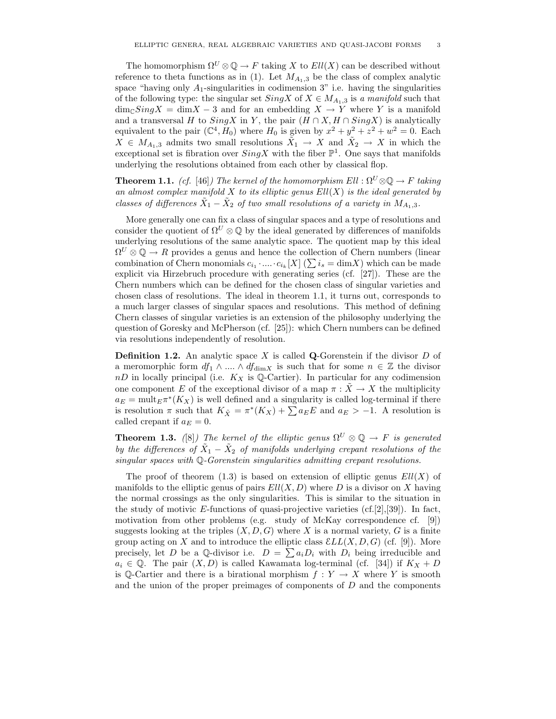The homomorphism  $\Omega^U \otimes \mathbb{O} \to F$  taking X to  $Ell(X)$  can be described without reference to theta functions as in (1). Let  $M_{A_1,3}$  be the class of complex analytic space "having only  $A_1$ -singularities in codimension 3" i.e. having the singularities of the following type: the singular set  $SingX$  of  $X \in M_{A_1,3}$  is a manifold such that  $\dim_{\mathbb{C}} SingX = \dim X - 3$  and for an embedding  $X \to Y$  where Y is a manifold and a transversal H to  $SingX$  in Y, the pair  $(H \cap X, H \cap SingX)$  is analytically equivalent to the pair  $(\mathbb{C}^4, H_0)$  where  $H_0$  is given by  $x^2 + y^2 + z^2 + w^2 = 0$ . Each  $X \in M_{A_1,3}$  admits two small resolutions  $\tilde{X}_1 \to X$  and  $\tilde{X}_2 \to X$  in which the exceptional set is fibration over  $SingX$  with the fiber  $\mathbb{P}^1$ . One says that manifolds underlying the resolutions obtained from each other by classical flop.

**Theorem 1.1.** (cf. [46]) The kernel of the homomorphism  $Ell: \Omega^U \otimes \mathbb{Q} \to F$  taking an almost complex manifold  $X$  to its elliptic genus  $Ell(X)$  is the ideal generated by classes of differences  $X_1 - X_2$  of two small resolutions of a variety in  $M_{A_1,3}$ .

More generally one can fix a class of singular spaces and a type of resolutions and consider the quotient of  $\Omega^U \otimes \mathbb{Q}$  by the ideal generated by differences of manifolds underlying resolutions of the same analytic space. The quotient map by this ideal  $\Omega^U \otimes \mathbb{Q} \to R$  provides a genus and hence the collection of Chern numbers (linear combination of Chern monomials  $c_{i_1} \cdot ... \cdot c_{i_k}[X]$  ( $\sum i_s = \dim X$ ) which can be made explicit via Hirzebruch procedure with generating series (cf. [27]). These are the Chern numbers which can be defined for the chosen class of singular varieties and chosen class of resolutions. The ideal in theorem 1.1, it turns out, corresponds to a much larger classes of singular spaces and resolutions. This method of defining Chern classes of singular varieties is an extension of the philosophy underlying the question of Goresky and McPherson (cf. [25]): which Chern numbers can be defined via resolutions independently of resolution.

**Definition 1.2.** An analytic space X is called **Q**-Gorenstein if the divisor  $D$  of a meromorphic form  $df_1 \wedge ... \wedge df_{\dim X}$  is such that for some  $n \in \mathbb{Z}$  the divisor  $nD$  in locally principal (i.e.  $K_X$  is Q-Cartier). In particular for any codimension one component E of the exceptional divisor of a map  $\pi : \tilde{X} \to X$  the multiplicity  $a_E = \text{mult}_{E} \pi^*(K_X)$  is well defined and a singularity is called log-terminal if there is resolution  $\pi$  such that  $K_{\tilde{X}} = \pi^*(K_X) + \sum a_E E$  and  $a_E > -1$ . A resolution is called crepant if  $a_E = 0$ .

**Theorem 1.3.** ([8]) The kernel of the elliptic genus  $\Omega^U \otimes \mathbb{Q} \to F$  is generated by the differences of  $\tilde{X}_1 - \tilde{X}_2$  of manifolds underlying crepant resolutions of the singular spaces with Q-Gorenstein singularities admitting crepant resolutions.

The proof of theorem  $(1.3)$  is based on extension of elliptic genus  $Ell(X)$  of manifolds to the elliptic genus of pairs  $Ell(X, D)$  where D is a divisor on X having the normal crossings as the only singularities. This is similar to the situation in the study of motivic E-functions of quasi-projective varieties (cf.[2],[39]). In fact, motivation from other problems (e.g. study of McKay correspondence cf. [9]) suggests looking at the triples  $(X, D, G)$  where X is a normal variety, G is a finite group acting on X and to introduce the elliptic class  $\mathcal E LL(X, D, G)$  (cf. [9]). More precisely, let D be a Q-divisor i.e.  $D = \sum a_i D_i$  with  $D_i$  being irreducible and  $a_i \in \mathbb{Q}$ . The pair  $(X, D)$  is called Kawamata log-terminal (cf. [34]) if  $K_X + D$ is Q-Cartier and there is a birational morphism  $f: Y \to X$  where Y is smooth and the union of the proper preimages of components of D and the components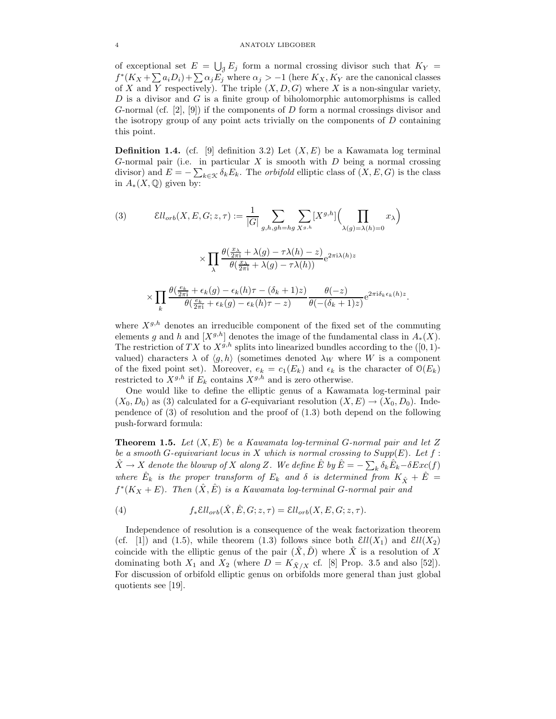of exceptional set  $E = \bigcup_{j} E_j$  form a normal crossing divisor such that  $K_Y =$  $f^*(K_X + \sum a_iD_i) + \sum \alpha_jE_j$  where  $\alpha_j > -1$  (here  $K_X, K_Y$  are the canonical classes of X and Y respectively). The triple  $(X, D, G)$  where X is a non-singular variety,  $D$  is a divisor and  $G$  is a finite group of biholomorphic automorphisms is called G-normal (cf. [2], [9]) if the components of D form a normal crossings divisor and the isotropy group of any point acts trivially on the components of  $D$  containing this point.

**Definition 1.4.** (cf. [9] definition 3.2) Let  $(X, E)$  be a Kawamata log terminal G-normal pair (i.e. in particular  $X$  is smooth with  $D$  being a normal crossing divisor) and  $E = -\sum_{k \in \mathcal{K}} \delta_k E_k$ . The *orbifold* elliptic class of  $(X, E, G)$  is the class in  $A_*(X,\mathbb{Q})$  given by:

(3) 
$$
\mathcal{E}ll_{orb}(X, E, G; z, \tau) := \frac{1}{|G|} \sum_{g,h,gh=hg} \sum_{X^{g,h}} [X^{g,h}] \Big( \prod_{\lambda(g)=\lambda(h)=0} x_{\lambda} \Big)
$$

$$
\times \prod_{\lambda} \frac{\theta(\frac{x_{\lambda}}{2\pi i} + \lambda(g) - \tau \lambda(h) - z)}{\theta(\frac{x_{\lambda}}{2\pi i} + \lambda(g) - \tau \lambda(h))} e^{2\pi i \lambda(h) z}
$$

$$
\times \prod_{k} \frac{\theta(\frac{e_{k}}{2\pi i} + \epsilon_{k}(g) - \epsilon_{k}(h)\tau - (\delta_{k} + 1)z)}{\theta(\frac{e_{k}}{2\pi i} + \epsilon_{k}(g) - \epsilon_{k}(h)\tau - z)} \frac{\theta(-z)}{\theta(-(\delta_{k} + 1)z)} e^{2\pi i \delta_{k}\epsilon_{k}(h)z}.
$$

where  $X^{g,h}$  denotes an irreducible component of the fixed set of the commuting elements g and h and  $[X^{g,h}]$  denotes the image of the fundamental class in  $A_*(X)$ . The restriction of TX to  $X^{g,h}$  splits into linearized bundles according to the ([0, 1)valued) characters  $\lambda$  of  $\langle g, h \rangle$  (sometimes denoted  $\lambda_W$  where W is a component of the fixed point set). Moreover,  $e_k = c_1(E_k)$  and  $\epsilon_k$  is the character of  $\mathcal{O}(E_k)$ restricted to  $X^{g,h}$  if  $E_k$  contains  $X^{g,h}$  and is zero otherwise.

One would like to define the elliptic genus of a Kawamata log-terminal pair  $(X_0, D_0)$  as (3) calculated for a G-equivariant resolution  $(X, E) \rightarrow (X_0, D_0)$ . Independence of (3) of resolution and the proof of (1.3) both depend on the following push-forward formula:

**Theorem 1.5.** Let  $(X, E)$  be a Kawamata log-terminal G-normal pair and let Z be a smooth G-equivariant locus in X which is normal crossing to  $Supp(E)$ . Let  $f$ :  $\hat{X} \to X$  denote the blowup of X along Z. We define  $\hat{E}$  by  $\hat{E} = -\sum_k \delta_k \hat{E}_k - \delta Exc(f)$ where  $\hat{E}_k$  is the proper transform of  $E_k$  and  $\delta$  is determined from  $K_{\hat{X}} + \hat{E} =$  $f^*(K_X + E)$ . Then  $(\hat{X}, \hat{E})$  is a Kawamata log-terminal G-normal pair and

(4) 
$$
f_*\mathcal{E}ll_{orb}(\hat{X}, \hat{E}, G; z, \tau) = \mathcal{E}ll_{orb}(X, E, G; z, \tau).
$$

Independence of resolution is a consequence of the weak factorization theorem (cf. [1]) and (1.5), while theorem (1.3) follows since both  $\mathcal{E}ll(X_1)$  and  $\mathcal{E}ll(X_2)$ coincide with the elliptic genus of the pair  $(X, D)$  where X is a resolution of X dominating both  $X_1$  and  $X_2$  (where  $D = K_{\tilde{X}/X}$  cf. [8] Prop. 3.5 and also [52]). For discussion of orbifold elliptic genus on orbifolds more general than just global quotients see [19].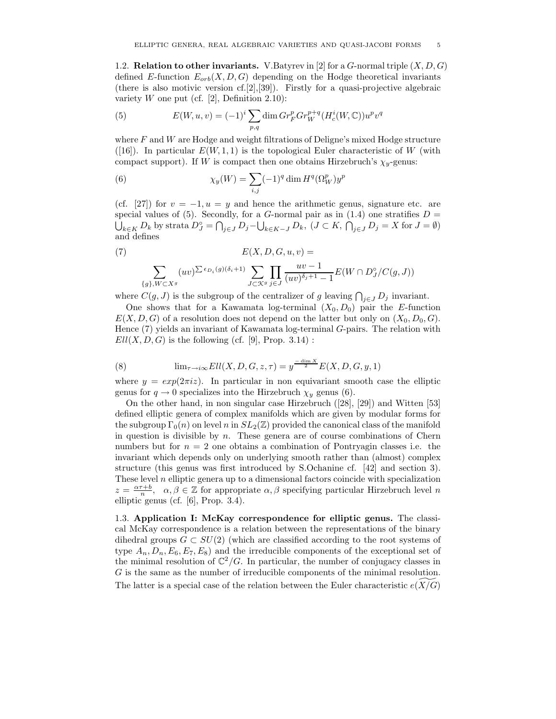1.2. Relation to other invariants. V.Batyrev in [2] for a G-normal triple  $(X, D, G)$ defined E-function  $E_{orb}(X, D, G)$  depending on the Hodge theoretical invariants (there is also motivic version cf.[2],[39]). Firstly for a quasi-projective algebraic variety W one put (cf. [2], Definition 2.10):

(5) 
$$
E(W, u, v) = (-1)^i \sum_{p,q} \dim Gr_F^p Gr_W^{p+q}(H_c^i(W, \mathbb{C})) u^p v^q
$$

where  $F$  and  $W$  are Hodge and weight filtrations of Deligne's mixed Hodge structure ([16]). In particular  $E(W, 1, 1)$  is the topological Euler characteristic of W (with compact support). If W is compact then one obtains Hirzebruch's  $\chi_y$ -genus:

(6) 
$$
\chi_y(W) = \sum_{i,j} (-1)^q \dim H^q(\Omega^p_W) y^p
$$

(cf. [27]) for  $v = -1, u = y$  and hence the arithmetic genus, signature etc. are special values of (5). Secondly, for a G-normal pair as in (1.4) one stratifies  $D =$  $\bigcup_{k\in K} D_k$  by strata  $D_J^\circ = \bigcap_{j\in J} D_j - \bigcup_{k\in K-J} D_k$ ,  $(J \subset K, \bigcap_{j\in J} D_j = X$  for  $J = \emptyset$ ) and defines

(7) 
$$
E(X, D, G, u, v) =
$$

$$
\sum_{\{g\}, W \subset X^g} (uv)^{\sum \epsilon_{D_i}(g)(\delta_i + 1)} \sum_{J \subset \mathcal{K}^g} \prod_{j \in J} \frac{uv - 1}{(uv)^{\delta_j + 1} - 1} E(W \cap D_J^{\circ}/C(g, J))
$$

where  $C(g, J)$  is the subgroup of the centralizer of g leaving  $\bigcap_{j \in J} D_j$  invariant.

One shows that for a Kawamata log-terminal  $(X_0, D_0)$  pair the E-function  $E(X, D, G)$  of a resolution does not depend on the latter but only on  $(X_0, D_0, G)$ . Hence (7) yields an invariant of Kawamata log-terminal G-pairs. The relation with  $Ell(X, D, G)$  is the following (cf. [9], Prop. 3.14):

(8) 
$$
\lim_{\tau \to i\infty} Ell(X, D, G, z, \tau) = y^{\frac{-\dim X}{2}} E(X, D, G, y, 1)
$$

where  $y = exp(2\pi i z)$ . In particular in non equivariant smooth case the elliptic genus for  $q \to 0$  specializes into the Hirzebruch  $\chi_y$  genus (6).

On the other hand, in non singular case Hirzebruch ([28], [29]) and Witten [53] defined elliptic genera of complex manifolds which are given by modular forms for the subgroup  $\Gamma_0(n)$  on level n in  $SL_2(\mathbb{Z})$  provided the canonical class of the manifold in question is divisible by  $n$ . These genera are of course combinations of Chern numbers but for  $n = 2$  one obtains a combination of Pontryagin classes i.e. the invariant which depends only on underlying smooth rather than (almost) complex structure (this genus was first introduced by S.Ochanine cf. [42] and section 3). These level  $n$  elliptic genera up to a dimensional factors coincide with specialization  $z = \frac{\alpha \tau + b}{n}$ ,  $\alpha, \beta \in \mathbb{Z}$  for appropriate  $\alpha, \beta$  specifying particular Hirzebruch level n elliptic genus (cf. [6], Prop. 3.4).

1.3. Application I: McKay correspondence for elliptic genus. The classical McKay correspondence is a relation between the representations of the binary dihedral groups  $G \subset SU(2)$  (which are classified according to the root systems of type  $A_n, D_n, E_6, E_7, E_8$  and the irreducible components of the exceptional set of the minimal resolution of  $\mathbb{C}^2/G$ . In particular, the number of conjugacy classes in G is the same as the number of irreducible components of the minimal resolution. The latter is a special case of the relation between the Euler characteristic  $e(X/G)$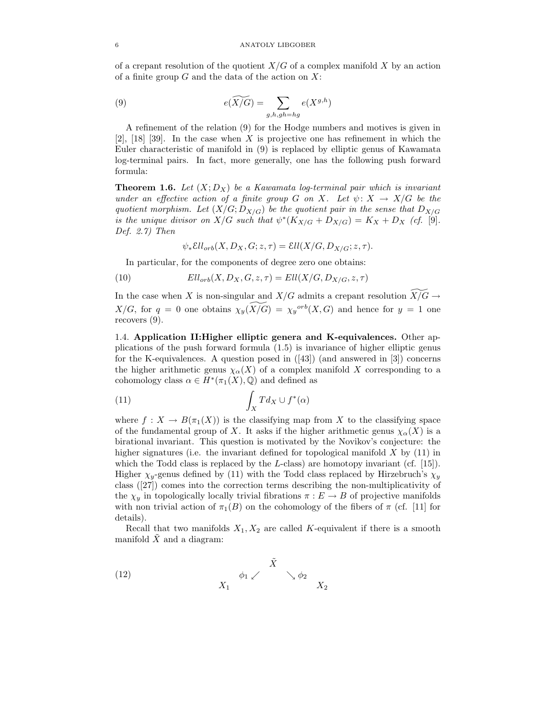of a crepant resolution of the quotient  $X/G$  of a complex manifold X by an action of a finite group  $G$  and the data of the action on  $X$ :

(9) 
$$
e(\widetilde{X/G}) = \sum_{g,h,gh=hg} e(X^{g,h})
$$

A refinement of the relation (9) for the Hodge numbers and motives is given in  $[2]$ ,  $[18]$   $[39]$ . In the case when X is projective one has refinement in which the Euler characteristic of manifold in (9) is replaced by elliptic genus of Kawamata log-terminal pairs. In fact, more generally, one has the following push forward formula:

**Theorem 1.6.** Let  $(X; D_X)$  be a Kawamata log-terminal pair which is invariant under an effective action of a finite group G on X. Let  $\psi \colon X \to X/G$  be the quotient morphism. Let  $(X/G; D_{X/G})$  be the quotient pair in the sense that  $D_{X/G}$ is the unique divisor on  $X/G$  such that  $\psi^*(K_{X/G} + D_{X/G}) = K_X + D_X$  (cf. [9]. Def.  $2.7$ ) Then

 $\psi_* \mathcal{E}ll_{orb}(X, D_X, G; z, \tau) = \mathcal{E}ll(X/G, D_{X/G}; z, \tau).$ 

In particular, for the components of degree zero one obtains:

(10)  $Ell_{orb}(X, D_X, G, z, \tau) = Ell(X/G, D_{X/G}, z, \tau)$ 

In the case when X is non-singular and  $X/G$  admits a crepant resolution  $\widetilde{X/G} \to$  $X/G$ , for  $q = 0$  one obtains  $\chi_y(\widetilde{X/G}) = \chi_y^{orb}(X, G)$  and hence for  $y = 1$  one recovers (9).

1.4. Application II:Higher elliptic genera and K-equivalences. Other applications of the push forward formula (1.5) is invariance of higher elliptic genus for the K-equivalences. A question posed in  $(43)$  (and answered in [3]) concerns the higher arithmetic genus  $\chi_{\alpha}(X)$  of a complex manifold X corresponding to a cohomology class  $\alpha \in H^*(\pi_1(X), \mathbb{Q})$  and defined as

(11) 
$$
\int_X T d_X \cup f^*(\alpha)
$$

where  $f: X \to B(\pi_1(X))$  is the classifying map from X to the classifying space of the fundamental group of X. It asks if the higher arithmetic genus  $\chi_{\alpha}(X)$  is a birational invariant. This question is motivated by the Novikov's conjecture: the higher signatures (i.e. the invariant defined for topological manifold  $X$  by (11) in which the Todd class is replaced by the  $L$ -class) are homotopy invariant (cf. [15]). Higher  $\chi_y$ -genus defined by (11) with the Todd class replaced by Hirzebruch's  $\chi_y$ class ([27]) comes into the correction terms describing the non-multiplicativity of the  $\chi_y$  in topologically locally trivial fibrations  $\pi : E \to B$  of projective manifolds with non trivial action of  $\pi_1(B)$  on the cohomology of the fibers of  $\pi$  (cf. [11] for details).

Recall that two manifolds  $X_1, X_2$  are called K-equivalent if there is a smooth manifold  $X$  and a diagram:

(12) 
$$
\begin{array}{ccccc}\n & & \tilde{X} & & \\
& & \phi_1 \swarrow & & \searrow \phi_2 & \\
& & X_1 & & & X_2\n\end{array}
$$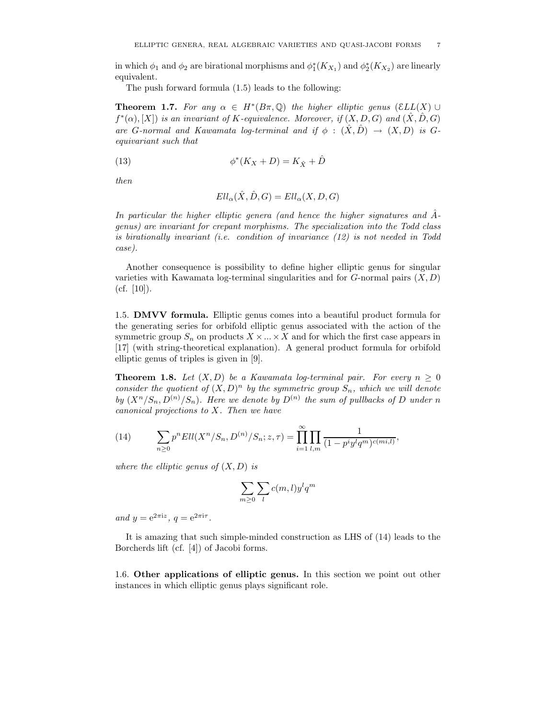in which  $\phi_1$  and  $\phi_2$  are birational morphisms and  $\phi_1^*(K_{X_1})$  and  $\phi_2^*(K_{X_2})$  are linearly equivalent.

The push forward formula (1.5) leads to the following:

**Theorem 1.7.** For any  $\alpha \in H^*(B\pi,\mathbb{Q})$  the higher elliptic genus  $(\mathcal{E}LL(X) \cup$  $f^*(\alpha)$ ,  $[X]$  is an invariant of K-equivalence. Moreover, if  $(X, D, G)$  and  $(\hat{X}, \hat{D}, G)$ are G-normal and Kawamata log-terminal and if  $\phi$  :  $(\hat{X}, \hat{D}) \rightarrow (X, D)$  is Gequivariant such that

(13) 
$$
\phi^*(K_X + D) = K_{\hat{X}} + \hat{D}
$$

then

$$
Ell_{\alpha}(\hat{X},\hat{D},G)=Ell_{\alpha}(X,D,G)
$$

In particular the higher elliptic genera (and hence the higher signatures and  $\ddot{A}$ genus) are invariant for crepant morphisms. The specialization into the Todd class is birationally invariant (i.e. condition of invariance (12) is not needed in Todd case).

Another consequence is possibility to define higher elliptic genus for singular varieties with Kawamata log-terminal singularities and for  $G$ -normal pairs  $(X, D)$  $(cf. [10]).$ 

1.5. DMVV formula. Elliptic genus comes into a beautiful product formula for the generating series for orbifold elliptic genus associated with the action of the symmetric group  $S_n$  on products  $X \times \ldots \times X$  and for which the first case appears in [17] (with string-theoretical explanation). A general product formula for orbifold elliptic genus of triples is given in [9].

**Theorem 1.8.** Let  $(X, D)$  be a Kawamata log-terminal pair. For every  $n \geq 0$ consider the quotient of  $(X, D)^n$  by the symmetric group  $S_n$ , which we will denote by  $(X^n/S_n, D^{(n)}/S_n)$ . Here we denote by  $D^{(n)}$  the sum of pullbacks of D under n canonical projections to X. Then we have

(14) 
$$
\sum_{n\geq 0} p^n E ll(X^n/S_n, D^{(n)}/S_n; z, \tau) = \prod_{i=1}^{\infty} \prod_{l,m} \frac{1}{(1-p^i y^l q^m)^{c(mi,l)}},
$$

where the elliptic genus of  $(X, D)$  is

$$
\sum_{m\geq 0}\sum_{l}c(m,l)y^{l}q^{m}
$$

and  $y = e^{2\pi i z}$ ,  $q = e^{2\pi i \tau}$ .

It is amazing that such simple-minded construction as LHS of (14) leads to the Borcherds lift (cf. [4]) of Jacobi forms.

1.6. Other applications of elliptic genus. In this section we point out other instances in which elliptic genus plays significant role.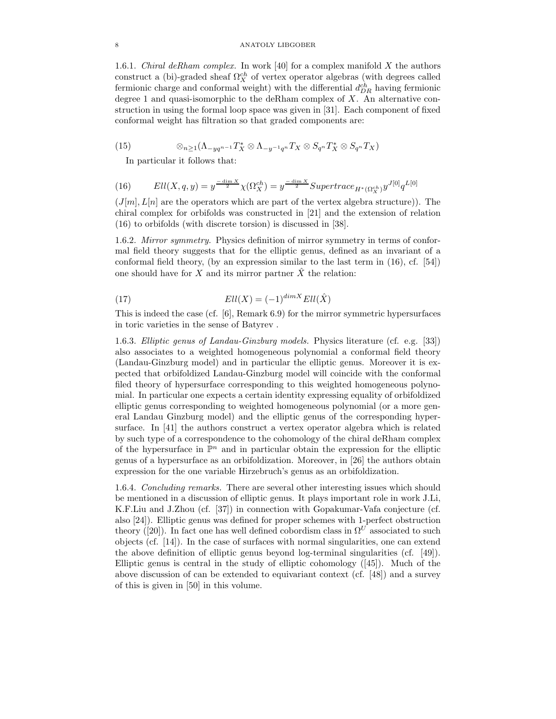#### 8 ANATOLY LIBGOBER

1.6.1. *Chiral deRham complex.* In work [40] for a complex manifold X the authors construct a (bi)-graded sheaf  $\Omega_X^{ch}$  of vertex operator algebras (with degrees called fermionic charge and conformal weight) with the differential  $d_{DR}^{ch}$  having fermionic degree 1 and quasi-isomorphic to the deRham complex of  $X$ . An alternative construction in using the formal loop space was given in [31]. Each component of fixed conformal weight has filtration so that graded components are:

(15) 
$$
\otimes_{n\geq 1} (\Lambda_{-yq^{n-1}}T_X^*\otimes \Lambda_{-y^{-1}q^n}T_X\otimes S_{q^n}T_X^*\otimes S_{q^n}T_X)
$$

In particular it follows that:

(16) 
$$
Ell(X,q,y) = y^{\frac{-\dim X}{2}} \chi(\Omega_X^{ch}) = y^{\frac{-\dim X}{2}} Supertrace_{H^*(\Omega_X^{ch})} y^{J[0]} q^{L[0]}
$$

 $(J[m], L[n])$  are the operators which are part of the vertex algebra structure)). The chiral complex for orbifolds was constructed in [21] and the extension of relation (16) to orbifolds (with discrete torsion) is discussed in [38].

1.6.2. Mirror symmetry. Physics definition of mirror symmetry in terms of conformal field theory suggests that for the elliptic genus, defined as an invariant of a conformal field theory, (by an expression similar to the last term in (16), cf. [54]) one should have for X and its mirror partner  $\hat{X}$  the relation:

(17) 
$$
Ell(X) = (-1)^{\dim X} Ell(\hat{X})
$$

This is indeed the case (cf. [6], Remark 6.9) for the mirror symmetric hypersurfaces in toric varieties in the sense of Batyrev .

1.6.3. Elliptic genus of Landau-Ginzburg models. Physics literature (cf. e.g. [33]) also associates to a weighted homogeneous polynomial a conformal field theory (Landau-Ginzburg model) and in particular the elliptic genus. Moreover it is expected that orbifoldized Landau-Ginzburg model will coincide with the conformal filed theory of hypersurface corresponding to this weighted homogeneous polynomial. In particular one expects a certain identity expressing equality of orbifoldized elliptic genus corresponding to weighted homogeneous polynomial (or a more general Landau Ginzburg model) and the elliptic genus of the corresponding hypersurface. In [41] the authors construct a vertex operator algebra which is related by such type of a correspondence to the cohomology of the chiral deRham complex of the hypersurface in  $\mathbb{P}^n$  and in particular obtain the expression for the elliptic genus of a hypersurface as an orbifoldization. Moreover, in [26] the authors obtain expression for the one variable Hirzebruch's genus as an orbifoldization.

1.6.4. Concluding remarks. There are several other interesting issues which should be mentioned in a discussion of elliptic genus. It plays important role in work J.Li, K.F.Liu and J.Zhou (cf. [37]) in connection with Gopakumar-Vafa conjecture (cf. also [24]). Elliptic genus was defined for proper schemes with 1-perfect obstruction theory ([20]). In fact one has well defined cobordism class in  $\Omega^U$  associated to such objects (cf. [14]). In the case of surfaces with normal singularities, one can extend the above definition of elliptic genus beyond log-terminal singularities (cf. [49]). Elliptic genus is central in the study of elliptic cohomology ([45]). Much of the above discussion of can be extended to equivariant context (cf. [48]) and a survey of this is given in [50] in this volume.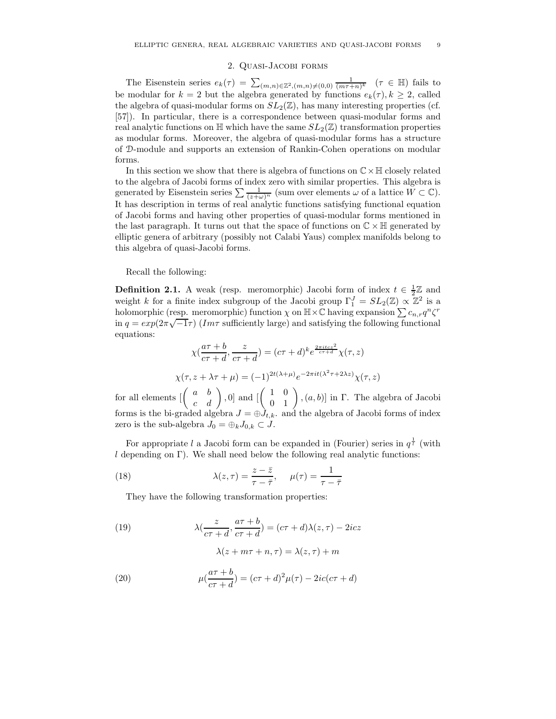# 2. Quasi-Jacobi forms

The Eisenstein series  $e_k(\tau) = \sum_{(m,n)\in\mathbb{Z}^2, (m,n)\neq(0,0)} \frac{1}{(m\tau+n)^k}$  ( $\tau \in \mathbb{H}$ ) fails to be modular for  $k = 2$  but the algebra generated by functions  $e_k(\tau)$ ,  $k \geq 2$ , called the algebra of quasi-modular forms on  $SL_2(\mathbb{Z})$ , has many interesting properties (cf. [57]). In particular, there is a correspondence between quasi-modular forms and real analytic functions on  $\mathbb{H}$  which have the same  $SL_2(\mathbb{Z})$  transformation properties as modular forms. Moreover, the algebra of quasi-modular forms has a structure of D-module and supports an extension of Rankin-Cohen operations on modular forms.

In this section we show that there is algebra of functions on  $\mathbb{C}\times\mathbb{H}$  closely related to the algebra of Jacobi forms of index zero with similar properties. This algebra is generated by Eisenstein series  $\sum \frac{1}{(z+\omega)^n}$  (sum over elements  $\omega$  of a lattice  $W \subset \mathbb{C}$ ). It has description in terms of real analytic functions satisfying functional equation of Jacobi forms and having other properties of quasi-modular forms mentioned in the last paragraph. It turns out that the space of functions on  $\mathbb{C} \times \mathbb{H}$  generated by elliptic genera of arbitrary (possibly not Calabi Yaus) complex manifolds belong to this algebra of quasi-Jacobi forms.

Recall the following:

**Definition 2.1.** A weak (resp. meromorphic) Jacobi form of index  $t \in \frac{1}{2}\mathbb{Z}$  and weight k for a finite index subgroup of the Jacobi group  $\Gamma_1^J = SL_2(\mathbb{Z}) \propto \mathbb{Z}^2$  is a holomorphic (resp. meromorphic) function  $\chi$  on  $\mathbb{H} \times \mathbb{C}$  having expansion  $\sum c_{n,r}q^n\zeta^r$ in  $q = exp(2\pi\sqrt{-1}\tau)$  (Im $\tau$  sufficiently large) and satisfying the following functional equations:

$$
\chi\left(\frac{a\tau+b}{c\tau+d},\frac{z}{c\tau+d}\right) = (c\tau+d)^k e^{\frac{2\pi itcz^2}{c\tau+d}} \chi(\tau,z)
$$

$$
\chi(\tau,z+\lambda\tau+\mu) = (-1)^{2t(\lambda+\mu)} e^{-2\pi it(\lambda^2\tau+2\lambda z)} \chi(\tau,z)
$$

for all elements  $\begin{bmatrix} \begin{pmatrix} a & b \\ c & d \end{pmatrix}$ , 0 and  $\begin{bmatrix} \begin{pmatrix} 1 & 0 \\ 0 & 1 \end{pmatrix}$ ,  $(a, b)$  in  $\Gamma$ . The algebra of Jacobi forms is the bi-graded algebra  $J = \bigoplus \tilde{J}_{t,k}$ . and the algebra of Jacobi forms of index zero is the sub-algebra  $J_0 = \bigoplus_k J_{0,k} \subset J$ .

For appropriate l a Jacobi form can be expanded in (Fourier) series in  $q^{\frac{1}{l}}$  (with  $l$  depending on Γ). We shall need below the following real analytic functions:

(18) 
$$
\lambda(z,\tau) = \frac{z-\bar{z}}{\tau-\bar{\tau}}, \quad \mu(\tau) = \frac{1}{\tau-\bar{\tau}}
$$

They have the following transformation properties:

(19) 
$$
\lambda(\frac{z}{c\tau+d}, \frac{a\tau+b}{c\tau+d}) = (c\tau+d)\lambda(z,\tau) - 2icz
$$

$$
\lambda(z + m\tau + n, \tau) = \lambda(z, \tau) + m
$$

(20) 
$$
\mu(\frac{a\tau + b}{c\tau + d}) = (c\tau + d)^2 \mu(\tau) - 2ic(c\tau + d)
$$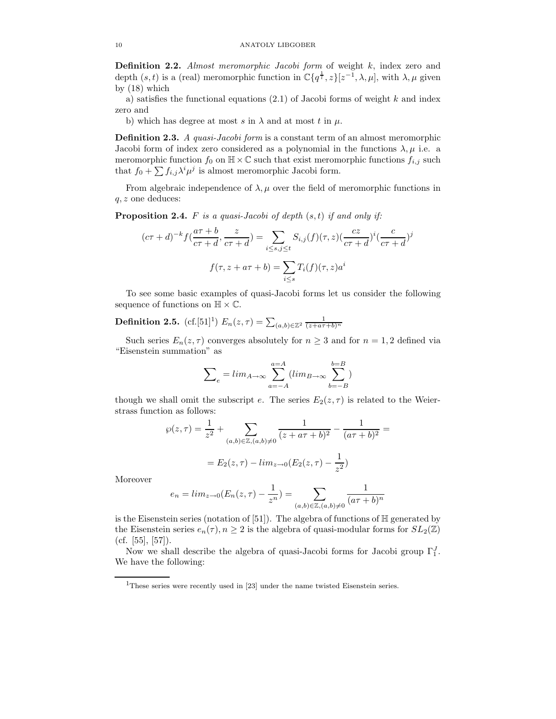Definition 2.2. Almost meromorphic Jacobi form of weight k, index zero and depth  $(s, t)$  is a (real) meromorphic function in  $\mathbb{C}\lbrace q^{\frac{1}{t}}, z\rbrace [z^{-1}, \lambda, \mu]$ , with  $\lambda, \mu$  given by (18) which

a) satisfies the functional equations  $(2.1)$  of Jacobi forms of weight k and index zero and

b) which has degree at most s in  $\lambda$  and at most t in  $\mu$ .

**Definition 2.3.** A quasi-Jacobi form is a constant term of an almost meromorphic Jacobi form of index zero considered as a polynomial in the functions  $\lambda, \mu$  i.e. a meromorphic function  $f_0$  on  $\mathbb{H} \times \mathbb{C}$  such that exist meromorphic functions  $f_{i,j}$  such that  $f_0 + \sum f_{i,j} \lambda^i \mu^j$  is almost meromorphic Jacobi form.

From algebraic independence of  $\lambda, \mu$  over the field of meromorphic functions in  $q, z$  one deduces:

**Proposition 2.4.** F is a quasi-Jacobi of depth  $(s, t)$  if and only if:

$$
(c\tau + d)^{-k} f\left(\frac{a\tau + b}{c\tau + d}, \frac{z}{c\tau + d}\right) = \sum_{i \le s, j \le t} S_{i,j}(f)(\tau, z)\left(\frac{cz}{c\tau + d}\right)^{i} \left(\frac{c}{c\tau + d}\right)^{j}
$$

$$
f(\tau, z + a\tau + b) = \sum_{i \le s} T_i(f)(\tau, z)a^i
$$

To see some basic examples of quasi-Jacobi forms let us consider the following sequence of functions on  $\mathbb{H} \times \mathbb{C}$ .

**Definition 2.5.** (cf.[51]<sup>1</sup>)  $E_n(z,\tau) = \sum_{(a,b) \in \mathbb{Z}^2} \frac{1}{(z+a\tau+b)^n}$ 

Such series  $E_n(z, \tau)$  converges absolutely for  $n \geq 3$  and for  $n = 1, 2$  defined via "Eisenstein summation" as

$$
\sum_{e} = \lim_{A \to \infty} \sum_{a=-A}^{a=A} (\lim_{B \to \infty} \sum_{b=-B}^{b=B})
$$

though we shall omit the subscript e. The series  $E_2(z, \tau)$  is related to the Weierstrass function as follows:

$$
\wp(z,\tau) = \frac{1}{z^2} + \sum_{(a,b)\in\mathbb{Z}, (a,b)\neq 0} \frac{1}{(z+a\tau+b)^2} - \frac{1}{(a\tau+b)^2} =
$$

$$
= E_2(z,\tau) - \lim_{z\to 0} (E_2(z,\tau) - \frac{1}{z^2})
$$

Moreover

$$
e_n = \lim_{z \to 0} (E_n(z, \tau) - \frac{1}{z^n}) = \sum_{(a, b) \in \mathbb{Z}, (a, b) \neq 0} \frac{1}{(a\tau + b)^n}
$$

is the Eisenstein series (notation of  $[51]$ ). The algebra of functions of  $\mathbb H$  generated by the Eisenstein series  $e_n(\tau)$ ,  $n \geq 2$  is the algebra of quasi-modular forms for  $SL_2(\mathbb{Z})$  $(cf. [55], [57])$ .

Now we shall describe the algebra of quasi-Jacobi forms for Jacobi group  $\Gamma_1^J$ . We have the following:

<sup>&</sup>lt;sup>1</sup>These series were recently used in [23] under the name twisted Eisenstein series.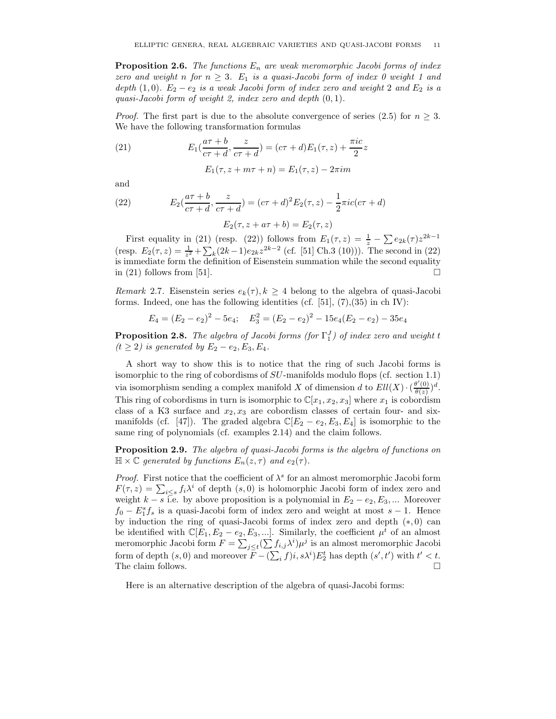**Proposition 2.6.** The functions  $E_n$  are weak meromorphic Jacobi forms of index zero and weight n for  $n \geq 3$ .  $E_1$  is a quasi-Jacobi form of index 0 weight 1 and depth (1,0).  $E_2 - e_2$  is a weak Jacobi form of index zero and weight 2 and  $E_2$  is a quasi-Jacobi form of weight 2, index zero and depth (0, 1).

*Proof.* The first part is due to the absolute convergence of series (2.5) for  $n \geq 3$ . We have the following transformation formulas

(21) 
$$
E_1(\frac{a\tau+b}{c\tau+d}, \frac{z}{c\tau+d}) = (c\tau+d)E_1(\tau, z) + \frac{\pi i c}{2}z
$$

$$
E_1(\tau, z + m\tau + n) = E_1(\tau, z) - 2\pi im
$$

and

(22) 
$$
E_2(\frac{a\tau+b}{c\tau+d}, \frac{z}{c\tau+d}) = (c\tau+d)^2 E_2(\tau, z) - \frac{1}{2}\pi i c(c\tau+d)
$$

$$
E_2(\tau, z + a\tau + b) = E_2(\tau, z)
$$

First equality in (21) (resp. (22)) follows from  $E_1(\tau, z) = \frac{1}{z} - \sum e_{2k}(\tau) z^{2k-1}$ (resp.  $E_2(\tau, z) = \frac{1}{z^2} + \sum_k (2k-1)e_{2k}z^{2k-2}$  (cf. [51] Ch.3 (10))). The second in (22) is immediate form the definition of Eisenstein summation while the second equality in (21) follows from [51].  $\Box$ 

*Remark* 2.7. Eisenstein series  $e_k(\tau)$ ,  $k \geq 4$  belong to the algebra of quasi-Jacobi forms. Indeed, one has the following identities (cf.  $[51]$ ,  $(7)$ ,  $(35)$  in ch IV):

$$
E_4 = (E_2 - e_2)^2 - 5e_4; \quad E_3^2 = (E_2 - e_2)^2 - 15e_4(E_2 - e_2) - 35e_4
$$

**Proposition 2.8.** The algebra of Jacobi forms (for  $\Gamma_1^J$ ) of index zero and weight t  $(t \geq 2)$  is generated by  $E_2 - e_2, E_3, E_4$ .

A short way to show this is to notice that the ring of such Jacobi forms is isomorphic to the ring of cobordisms of  $SU$ -manifolds modulo flops (cf. section 1.1) via isomorphism sending a complex manifold X of dimension d to  $Ell(X) \cdot \left(\frac{\theta'(0)}{\theta(z)}\right)^d$ . This ring of cobordisms in turn is isomorphic to  $\mathbb{C}[x_1, x_2, x_3]$  where  $x_1$  is cobordism class of a K3 surface and  $x_2, x_3$  are cobordism classes of certain four- and sixmanifolds (cf. [47]). The graded algebra  $\mathbb{C}[E_2 - e_2, E_3, E_4]$  is isomorphic to the same ring of polynomials (cf. examples 2.14) and the claim follows.

Proposition 2.9. The algebra of quasi-Jacobi forms is the algebra of functions on  $\mathbb{H} \times \mathbb{C}$  generated by functions  $E_n(z, \tau)$  and  $e_2(\tau)$ .

*Proof.* First notice that the coefficient of  $\lambda^s$  for an almost meromorphic Jacobi form  $F(\tau, z) = \sum_{i \leq s} f_i \lambda^i$  of depth  $(s, 0)$  is holomorphic Jacobi form of index zero and weight  $k - s$  i.e. by above proposition is a polynomial in  $E_2 - e_2, E_3, \dots$  Moreover  $f_0 - E_1^s f_s$  is a quasi-Jacobi form of index zero and weight at most  $s - 1$ . Hence by induction the ring of quasi-Jacobi forms of index zero and depth  $(*, 0)$  can be identified with  $\mathbb{C}[E_1, E_2 - e_2, E_3, \ldots]$ . Similarly, the coefficient  $\mu^t$  of an almost meromorphic Jacobi form  $F = \sum_{j \leq t} (\sum f_{i,j} \lambda^i) \mu^j$  is an almost meromorphic Jacobi form of depth  $(s, 0)$  and moreover  $F - (\sum_i f)i$ ,  $s\lambda^i)E_2^t$  has depth  $(s', t')$  with  $t' < t$ . The claim follows.  $\Box$ 

Here is an alternative description of the algebra of quasi-Jacobi forms: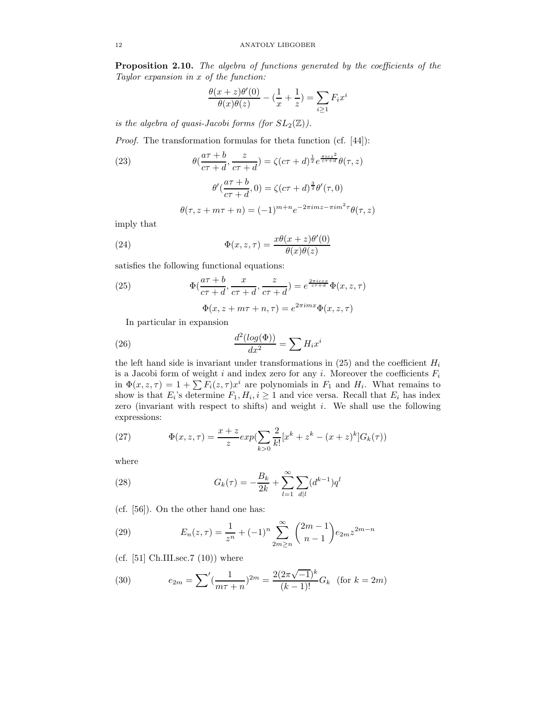Proposition 2.10. The algebra of functions generated by the coefficients of the Taylor expansion in x of the function:

$$
\frac{\theta(x+z)\theta'(0)}{\theta(x)\theta(z)} - (\frac{1}{x} + \frac{1}{z}) = \sum_{i \ge 1} F_i x^i
$$

is the algebra of quasi-Jacobi forms (for  $SL_2(\mathbb{Z})$ ).

Proof. The transformation formulas for theta function (cf. [44]):

(23)  
\n
$$
\theta(\frac{a\tau+b}{c\tau+d}, \frac{z}{c\tau+d}) = \zeta(c\tau+d)^{\frac{1}{2}}e^{\frac{\pi i c z^2}{c\tau+d}}\theta(\tau, z)
$$
\n
$$
\theta'(\frac{a\tau+b}{c\tau+d}, 0) = \zeta(c\tau+d)^{\frac{3}{2}}\theta'(\tau, 0)
$$
\n
$$
\theta(\tau, z+m\tau+n) = (-1)^{m+n}e^{-2\pi imz-\pi im^2\tau}\theta(\tau, z)
$$

imply that

(24) 
$$
\Phi(x, z, \tau) = \frac{x\theta(x+z)\theta'(0)}{\theta(x)\theta(z)}
$$

satisfies the following functional equations:

(25) 
$$
\Phi(\frac{a\tau+b}{c\tau+d}, \frac{x}{c\tau+d}, \frac{z}{c\tau+d}) = e^{\frac{2\pi i c z x}{c\tau+d}} \Phi(x, z, \tau)
$$

$$
\Phi(x, z + m\tau + n, \tau) = e^{2\pi i m x} \Phi(x, z, \tau)
$$

In particular in expansion

(26) 
$$
\frac{d^2(log(\Phi))}{dx^2} = \sum H_i x^i
$$

the left hand side is invariant under transformations in  $(25)$  and the coefficient  $H_i$ is a Jacobi form of weight  $i$  and index zero for any  $i$ . Moreover the coefficients  $F_i$ in  $\Phi(x, z, \tau) = 1 + \sum F_i(z, \tau)x^i$  are polynomials in  $F_1$  and  $H_i$ . What remains to show is that  $E_i$ 's determine  $F_1, H_i, i \geq 1$  and vice versa. Recall that  $E_i$  has index zero (invariant with respect to shifts) and weight  $i$ . We shall use the following expressions:

(27) 
$$
\Phi(x, z, \tau) = \frac{x + z}{z} exp(\sum_{k>0} \frac{2}{k!} [x^k + z^k - (x + z)^k] G_k(\tau))
$$

where

(28) 
$$
G_k(\tau) = -\frac{B_k}{2k} + \sum_{l=1}^{\infty} \sum_{d|l} (d^{k-1}) q^l
$$

(cf. [56]). On the other hand one has:

(29) 
$$
E_n(z,\tau) = \frac{1}{z^n} + (-1)^n \sum_{2m \ge n}^{\infty} {2m-1 \choose n-1} e_{2m} z^{2m-n}
$$

(cf.  $[51]$  Ch.III.sec.7  $(10)$ ) where

(30) 
$$
e_{2m} = \sum' (\frac{1}{m\tau + n})^{2m} = \frac{2(2\pi\sqrt{-1})^k}{(k-1)!} G_k \text{ (for } k = 2m)
$$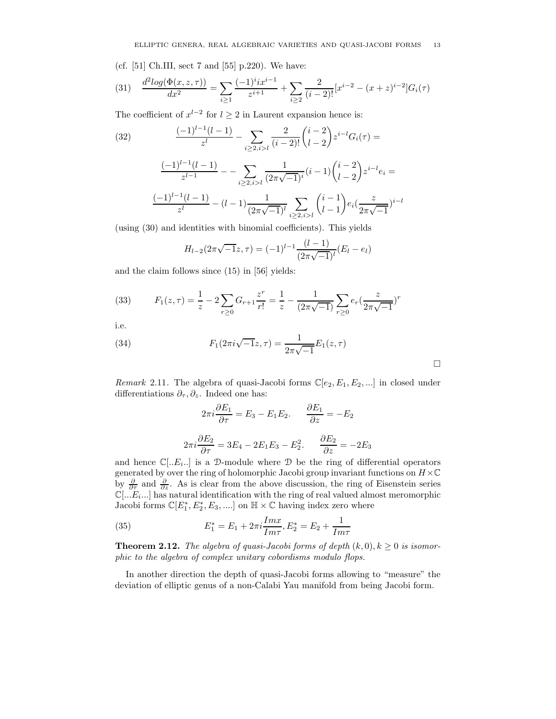(cf. [51] Ch.III, sect 7 and [55] p.220). We have:

(31) 
$$
\frac{d^2 \log(\Phi(x, z, \tau))}{dx^2} = \sum_{i \ge 1} \frac{(-1)^i ix^{i-1}}{z^{i+1}} + \sum_{i \ge 2} \frac{2}{(i-2)!} [x^{i-2} - (x+z)^{i-2}] G_i(\tau)
$$

The coefficient of  $x^{l-2}$  for  $l \geq 2$  in Laurent expansion hence is:

(32)
$$
\frac{(-1)^{l-1}(l-1)}{z^l} - \sum_{i \ge 2, i > l} \frac{2}{(i-2)!} {i-2 \choose l-2} z^{i-l} G_i(\tau) =
$$
\n
$$
\frac{(-1)^{l-1}(l-1)}{z^{l-1}} - \sum_{i \ge 2, i > l} \frac{1}{(2\pi\sqrt{-1})^i} (i-1) {i-2 \choose l-2} z^{i-l} e_i =
$$
\n
$$
\frac{(-1)^{l-1}(l-1)}{z^l} - (l-1) \frac{1}{(2\pi\sqrt{-1})^l} \sum_{i \ge 2, i > l} {i-1 \choose l-1} e_i \left(\frac{z}{2\pi\sqrt{-1}}\right)^{i-l}
$$

(using (30) and identities with binomial coefficients). This yields

$$
H_{l-2}(2\pi\sqrt{-1}z,\tau) = (-1)^{l-1} \frac{(l-1)}{(2\pi\sqrt{-1})^l} (E_l - e_l)
$$

and the claim follows since (15) in [56] yields:

(33) 
$$
F_1(z,\tau) = \frac{1}{z} - 2\sum_{r\geq 0} G_{r+1} \frac{z^r}{r!} = \frac{1}{z} - \frac{1}{(2\pi\sqrt{-1})} \sum_{r\geq 0} e_r \left(\frac{z}{2\pi\sqrt{-1}}\right)^r
$$

i.e.

(34) 
$$
F_1(2\pi i \sqrt{-1}z, \tau) = \frac{1}{2\pi \sqrt{-1}} E_1(z, \tau)
$$

Remark 2.11. The algebra of quasi-Jacobi forms  $\mathbb{C}[e_2, E_1, E_2, \ldots]$  in closed under differentiations  $\partial_{\tau}, \partial_{z}$ . Indeed one has:

 $\Box$ 

$$
2\pi i \frac{\partial E_1}{\partial \tau} = E_3 - E_1 E_2. \qquad \frac{\partial E_1}{\partial z} = -E_2
$$

$$
2\pi i \frac{\partial E_2}{\partial \tau} = 3E_4 - 2E_1 E_3 - E_2^2. \qquad \frac{\partial E_2}{\partial z} = -2E_3
$$

and hence  $\mathbb{C}[.,E_i,.]$  is a D-module where D be the ring of differential operators generated by over the ring of holomorphic Jacobi group invariant functions on  $H\times\mathbb{C}$ by  $\frac{\partial}{\partial \tau}$  and  $\frac{\partial}{\partial z}$ . As is clear from the above discussion, the ring of Eisenstein series  $\mathbb{C}[\dots E_i \dots]$  has natural identification with the ring of real valued almost meromorphic Jacobi forms  $\mathbb{C}[E_1^*, E_2^*, E_3, \ldots]$  on  $\mathbb{H} \times \mathbb{C}$  having index zero where

(35) 
$$
E_1^* = E_1 + 2\pi i \frac{Imx}{Im\tau}, E_2^* = E_2 + \frac{1}{Im\tau}
$$

**Theorem 2.12.** The algebra of quasi-Jacobi forms of depth  $(k, 0), k \ge 0$  is isomorphic to the algebra of complex unitary cobordisms modulo flops.

In another direction the depth of quasi-Jacobi forms allowing to "measure" the deviation of elliptic genus of a non-Calabi Yau manifold from being Jacobi form.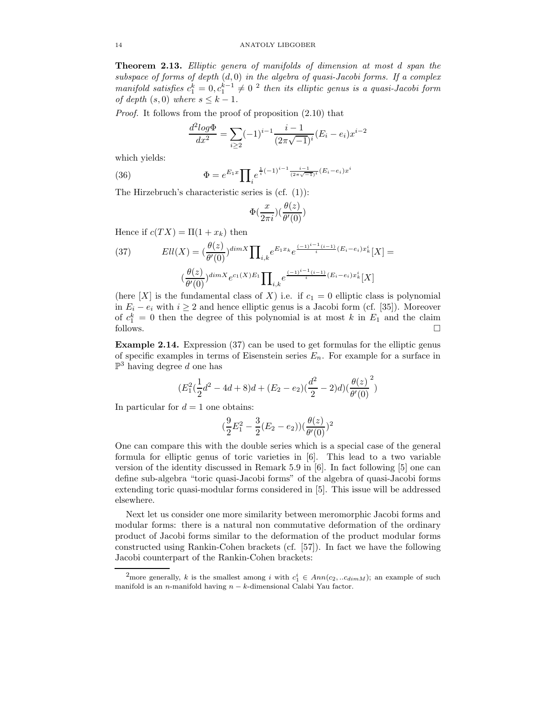Theorem 2.13. Elliptic genera of manifolds of dimension at most d span the subspace of forms of depth  $(d, 0)$  in the algebra of quasi-Jacobi forms. If a complex manifold satisfies  $c_1^k = 0, c_1^{k-1} \neq 0$  <sup>2</sup> then its elliptic genus is a quasi-Jacobi form of depth  $(s, 0)$  where  $s \leq k - 1$ .

Proof. It follows from the proof of proposition (2.10) that

$$
\frac{d^2 \log \Phi}{dx^2} = \sum_{i \ge 2} (-1)^{i-1} \frac{i-1}{(2\pi\sqrt{-1})^i} (E_i - e_i) x^{i-2}
$$

which yields:

(36) 
$$
\Phi = e^{E_1 x} \prod_i e^{\frac{1}{i}(-1)^{i-1} \frac{i-1}{(2\pi\sqrt{-1})^i} (E_i - e_i) x^i}
$$

The Hirzebruch's characteristic series is (cf. (1)):

$$
\Phi(\frac{x}{2\pi i})(\frac{\theta(z)}{\theta'(0)})
$$

Hence if  $c(T X) = \Pi(1 + x_k)$  then

(37) 
$$
Ell(X) = \left(\frac{\theta(z)}{\theta'(0)}\right)^{dim X} \prod_{i,k} e^{E_1 x_k} e^{\frac{(-1)^{i-1}(i-1)}{i}(E_i - e_i)x_k^i}[X] =
$$

$$
\left(\frac{\theta(z)}{\theta'(0)}\right)^{dim X} e^{c_1(X)E_1} \prod_{i,k} e^{\frac{(-1)^{i-1}(i-1)}{i}(E_i - e_i)x_k^i}[X]
$$

(here  $[X]$  is the fundamental class of X) i.e. if  $c_1 = 0$  elliptic class is polynomial in  $E_i - e_i$  with  $i \geq 2$  and hence elliptic genus is a Jacobi form (cf. [35]). Moreover of  $c_1^k = 0$  then the degree of this polynomial is at most k in  $E_1$  and the claim  $\Box$  follows.  $\Box$ 

Example 2.14. Expression (37) can be used to get formulas for the elliptic genus of specific examples in terms of Eisenstein series  $E_n$ . For example for a surface in  $\mathbb{P}^3$  having degree d one has

$$
(E_1^2(\frac{1}{2}d^2 - 4d + 8)d + (E_2 - e_2)(\frac{d^2}{2} - 2)d)(\frac{\theta(z)}{\theta'(0)})^2
$$

In particular for  $d = 1$  one obtains:

$$
(\frac{9}{2}E_1^2 - \frac{3}{2}(E_2 - e_2))(\frac{\theta(z)}{\theta'(0)})^2
$$

One can compare this with the double series which is a special case of the general formula for elliptic genus of toric varieties in [6]. This lead to a two variable version of the identity discussed in Remark 5.9 in [6]. In fact following [5] one can define sub-algebra "toric quasi-Jacobi forms" of the algebra of quasi-Jacobi forms extending toric quasi-modular forms considered in [5]. This issue will be addressed elsewhere.

Next let us consider one more similarity between meromorphic Jacobi forms and modular forms: there is a natural non commutative deformation of the ordinary product of Jacobi forms similar to the deformation of the product modular forms constructed using Rankin-Cohen brackets (cf. [57]). In fact we have the following Jacobi counterpart of the Rankin-Cohen brackets:

<sup>&</sup>lt;sup>2</sup>more generally, k is the smallest among i with  $c_1^i \in Ann(c_2, ...c_{dimM});$  an example of such manifold is an n-manifold having  $n - k$ -dimensional Calabi Yau factor.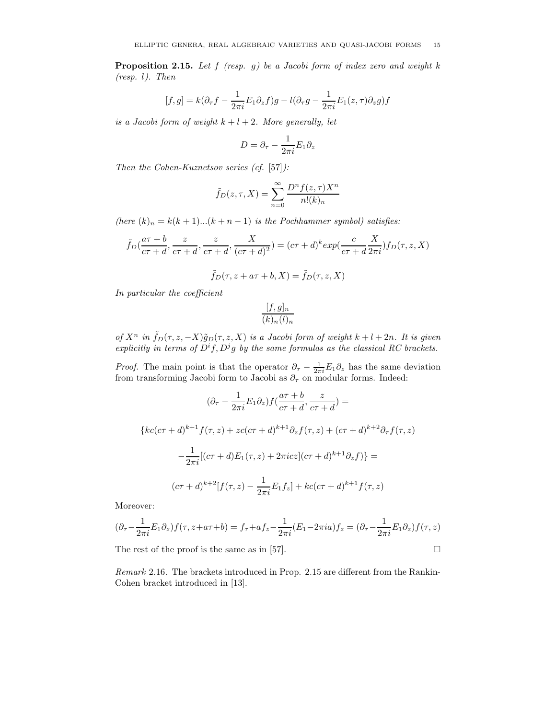**Proposition 2.15.** Let  $f$  (resp.  $g$ ) be a Jacobi form of index zero and weight k (resp. l). Then

$$
[f,g] = k(\partial_{\tau} f - \frac{1}{2\pi i} E_1 \partial_z f)g - l(\partial_{\tau} g - \frac{1}{2\pi i} E_1(z,\tau) \partial_z g) f
$$

is a Jacobi form of weight  $k+l+2$ . More generally, let

$$
D=\partial_{\tau}-\frac{1}{2\pi i}E_1\partial_z
$$

Then the Cohen-Kuznetsov series (cf. [57]):

$$
\tilde{f}_D(z,\tau,X) = \sum_{n=0}^{\infty} \frac{D^n f(z,\tau) X^n}{n!(k)_n}
$$

(here  $(k)_n = k(k+1)...(k+n-1)$  is the Pochhammer symbol) satisfies:

$$
\tilde{f}_D(\frac{a\tau+b}{c\tau+d},\frac{z}{c\tau+d},\frac{X}{c\tau+d},\frac{X}{(c\tau+d)^2})=(c\tau+d)^{k}exp(\frac{c}{c\tau+d}\frac{X}{2\pi i})f_D(\tau,z,X)
$$

$$
\tilde{f}_D(\tau,z+a\tau+b,X)=\tilde{f}_D(\tau,z,X)
$$

In particular the coefficient

$$
\frac{[f,g]_n}{(k)_n(l)_n}
$$

of  $X^n$  in  $\tilde{f}_D(\tau,z,-X)\tilde{g}_D(\tau,z,X)$  is a Jacobi form of weight  $k+l+2n$ . It is given explicitly in terms of  $D^if$ ,  $D^jg$  by the same formulas as the classical RC brackets.

*Proof.* The main point is that the operator  $\partial_{\tau} - \frac{1}{2\pi i} E_1 \partial_z$  has the same deviation from transforming Jacobi form to Jacobi as  $\partial_{\tau}$  on modular forms. Indeed:

$$
(\partial_{\tau} - \frac{1}{2\pi i} E_1 \partial_z) f(\frac{a\tau + b}{c\tau + d}, \frac{z}{c\tau + d}) =
$$
  

$$
\{kc(c\tau + d)^{k+1} f(\tau, z) + zc(c\tau + d)^{k+1} \partial_z f(\tau, z) + (c\tau + d)^{k+2} \partial_{\tau} f(\tau, z) - \frac{1}{2\pi i} [(c\tau + d)E_1(\tau, z) + 2\pi i cz] (c\tau + d)^{k+1} \partial_z f) \} =
$$

$$
(c\tau + d)^{k+2} [f(\tau, z) - \frac{1}{2\pi i} E_1 f_z] + kc(c\tau + d)^{k+1} f(\tau, z)
$$

Moreover:

$$
(\partial_{\tau} - \frac{1}{2\pi i} E_1 \partial_z) f(\tau, z + a\tau + b) = f_{\tau} + af_z - \frac{1}{2\pi i} (E_1 - 2\pi i a) f_z = (\partial_{\tau} - \frac{1}{2\pi i} E_1 \partial_z) f(\tau, z)
$$

The rest of the proof is the same as in [57].  $\Box$ 

Remark 2.16. The brackets introduced in Prop. 2.15 are different from the Rankin-Cohen bracket introduced in [13].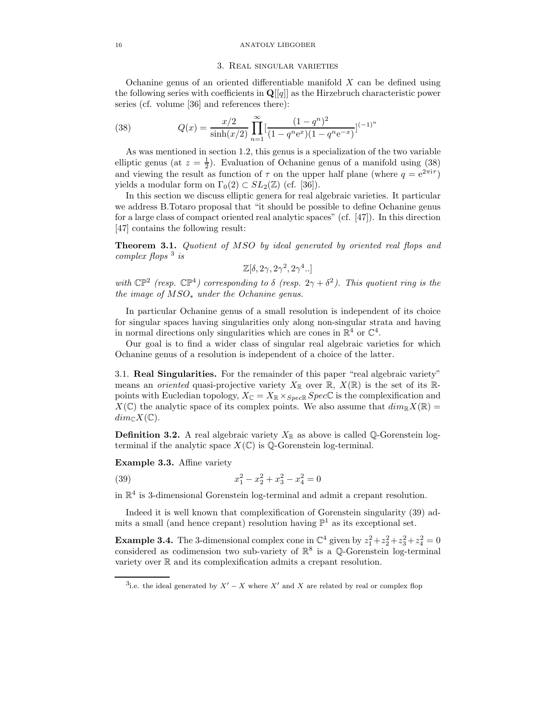#### 16 ANATOLY LIBGOBER

## 3. Real singular varieties

Ochanine genus of an oriented differentiable manifold  $X$  can be defined using the following series with coefficients in  $\mathbf{Q}[[q]]$  as the Hirzebruch characteristic power series (cf. volume [36] and references there):

(38) 
$$
Q(x) = \frac{x/2}{\sinh(x/2)} \prod_{n=1}^{\infty} \left[ \frac{(1-q^n)^2}{(1-q^n e^x)(1-q^n e^{-x})} \right]^{(-1)^n}
$$

As was mentioned in section 1.2, this genus is a specialization of the two variable elliptic genus (at  $z = \frac{1}{2}$ ). Evaluation of Ochanine genus of a manifold using (38) and viewing the result as function of  $\tau$  on the upper half plane (where  $q = e^{2\pi i \tau}$ ) yields a modular form on  $\Gamma_0(2) \subset SL_2(\mathbb{Z})$  (cf. [36]).

In this section we discuss elliptic genera for real algebraic varieties. It particular we address B.Totaro proposal that "it should be possible to define Ochanine genus for a large class of compact oriented real analytic spaces" (cf.  $\vert 47 \vert$ ). In this direction [47] contains the following result:

Theorem 3.1. Quotient of MSO by ideal generated by oriented real flops and complex flops  $3$  is

$$
\mathbb{Z}[\delta, 2\gamma, 2\gamma^2, 2\gamma^4..]
$$

with  $\mathbb{CP}^2$  (resp.  $\mathbb{CP}^4$ ) corresponding to  $\delta$  (resp.  $2\gamma + \delta^2$ ). This quotient ring is the the image of  $MSO_*$  under the Ochanine genus.

In particular Ochanine genus of a small resolution is independent of its choice for singular spaces having singularities only along non-singular strata and having in normal directions only singularities which are cones in  $\mathbb{R}^4$  or  $\mathbb{C}^4$ .

Our goal is to find a wider class of singular real algebraic varieties for which Ochanine genus of a resolution is independent of a choice of the latter.

3.1. Real Singularities. For the remainder of this paper "real algebraic variety" means an *oriented* quasi-projective variety  $X_{\mathbb{R}}$  over  $\mathbb{R}, X(\mathbb{R})$  is the set of its  $\mathbb{R}$ points with Eucledian topology,  $X_{\mathbb{C}} = X_{\mathbb{R}} \times_{Spec \mathbb{R}} Spec \mathbb{C}$  is the complexification and  $X(\mathbb{C})$  the analytic space of its complex points. We also assume that  $dim_{\mathbb{R}}X(\mathbb{R})=$  $dim_{\mathbb{C}}X(\mathbb{C}).$ 

**Definition 3.2.** A real algebraic variety  $X_{\mathbb{R}}$  as above is called Q-Gorenstein logterminal if the analytic space  $X(\mathbb{C})$  is  $\mathbb{Q}$ -Gorenstein log-terminal.

Example 3.3. Affine variety

(39)  $x_1^2$  $x_1^2 - x_2^2 + x_3^2 - x_4^2 = 0$ 

in  $\mathbb{R}^4$  is 3-dimensional Gorenstein log-terminal and admit a crepant resolution.

Indeed it is well known that complexification of Gorenstein singularity (39) admits a small (and hence crepant) resolution having  $\mathbb{P}^1$  as its exceptional set.

**Example 3.4.** The 3-dimensional complex cone in  $\mathbb{C}^4$  given by  $z_1^2 + z_2^2 + z_3^2 + z_4^2 = 0$ considered as codimension two sub-variety of  $\mathbb{R}^8$  is a  $\mathbb{Q}$ -Gorenstein log-terminal variety over R and its complexification admits a crepant resolution.

<sup>&</sup>lt;sup>3</sup>i.e. the ideal generated by  $X' - X$  where X' and X are related by real or complex flop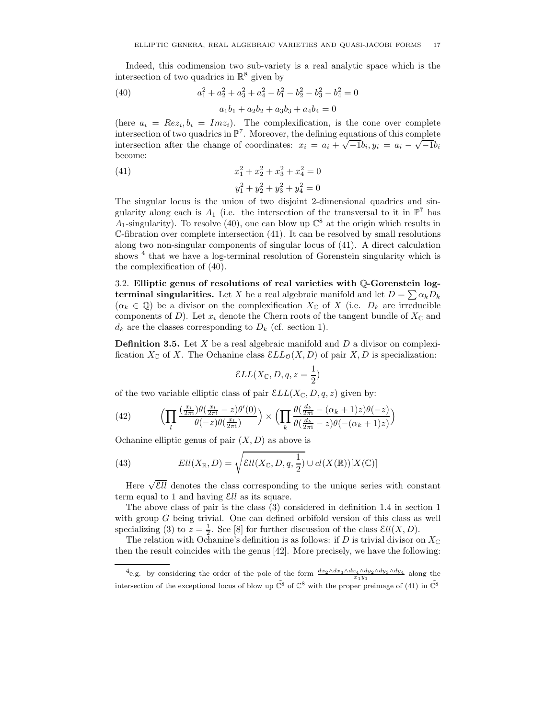Indeed, this codimension two sub-variety is a real analytic space which is the intersection of two quadrics in  $\mathbb{R}^8$  given by

(40) 
$$
a_1^2 + a_2^2 + a_3^2 + a_4^2 - b_1^2 - b_2^2 - b_3^2 - b_4^2 = 0
$$

$$
a_1b_1 + a_2b_2 + a_3b_3 + a_4b_4 = 0
$$

(here  $a_i = Re z_i, b_i = Im z_i$ ). The complexification, is the cone over complete intersection of two quadrics in  $\mathbb{P}^7$ . Moreover, the defining equations of this complete intersection after the change of coordinates:  $x_i = a_i + \sqrt{-1}b_i, y_i = a_i - \sqrt{-1}b_i$ become:

(41) 
$$
x_1^2 + x_2^2 + x_3^2 + x_4^2 = 0
$$

$$
y_1^2 + y_2^2 + y_3^2 + y_4^2 = 0
$$

The singular locus is the union of two disjoint 2-dimensional quadrics and singularity along each is  $A_1$  (i.e. the intersection of the transversal to it in  $\mathbb{P}^7$  has A<sub>1</sub>-singularity). To resolve (40), one can blow up  $\mathbb{C}^8$  at the origin which results in  $\mathbb{C}\text{-}$ fibration over complete intersection (41). It can be resolved by small resolutions along two non-singular components of singular locus of (41). A direct calculation shows <sup>4</sup> that we have a log-terminal resolution of Gorenstein singularity which is the complexification of (40).

3.2. Elliptic genus of resolutions of real varieties with Q-Gorenstein log**terminal singularities.** Let X be a real algebraic manifold and let  $D = \sum \alpha_k D_k$  $(\alpha_k \in \mathbb{Q})$  be a divisor on the complexification  $X_{\mathbb{C}}$  of X (i.e.  $D_k$  are irreducible components of D). Let  $x_i$  denote the Chern roots of the tangent bundle of  $X_{\mathbb{C}}$  and  $d_k$  are the classes corresponding to  $D_k$  (cf. section 1).

**Definition 3.5.** Let  $X$  be a real algebraic manifold and  $D$  a divisor on complexification  $X_{\mathbb{C}}$  of X. The Ochanine class  $\mathcal{E}_{LL_0}(X, D)$  of pair  $X, D$  is specialization:

$$
\mathcal E LL(X_{\mathbb C}, D, q, z = \frac{1}{2})
$$

of the two variable elliptic class of pair  $\mathcal{E}LL(X_{\mathbb{C}}, D, q, z)$  given by:

(42) 
$$
\left(\prod_{l} \frac{\left(\frac{x_l}{2\pi i}\right)\theta\left(\frac{x_l}{2\pi i}-z\right)\theta'(0)}{\theta(-z)\theta\left(\frac{x_l}{2\pi i}\right)}\right) \times \left(\prod_{k} \frac{\theta\left(\frac{d_k}{2\pi i}-(\alpha_k+1)z\right)\theta(-z)}{\theta\left(\frac{d_k}{2\pi i}-z\right)\theta\left(-(\alpha_k+1)z\right)}\right)
$$

Ochanine elliptic genus of pair  $(X, D)$  as above is

(43) 
$$
Ell(X_{\mathbb{R}}, D) = \sqrt{Ell(X_{\mathbb{C}}, D, q, \frac{1}{2})} \cup cl(X(\mathbb{R}))[X(\mathbb{C})]
$$

Here  $\sqrt{\mathcal{E}ll}$  denotes the class corresponding to the unique series with constant term equal to 1 and having Ell as its square.

The above class of pair is the class (3) considered in definition 1.4 in section 1 with group G being trivial. One can defined orbifold version of this class as well specializing (3) to  $z = \frac{1}{2}$ . See [8] for further discussion of the class  $\mathcal{E}ll(X,D)$ .

The relation with Ochanine's definition is as follows: if D is trivial divisor on  $X_{\mathbb{C}}$ then the result coincides with the genus [42]. More precisely, we have the following:

<sup>4</sup>e.g. by considering the order of the pole of the form  $\frac{dx_2 \wedge dx_3 \wedge dx_4 \wedge dy_2 \wedge dy_3 \wedge dy_4}{x_1y_1}$  along the intersection of the exceptional locus of blow up  $\tilde{\mathbb{C}}^8$  of  $\mathbb{C}^8$  with the proper preimage of (41) in  $\tilde{\mathbb{C}}^8$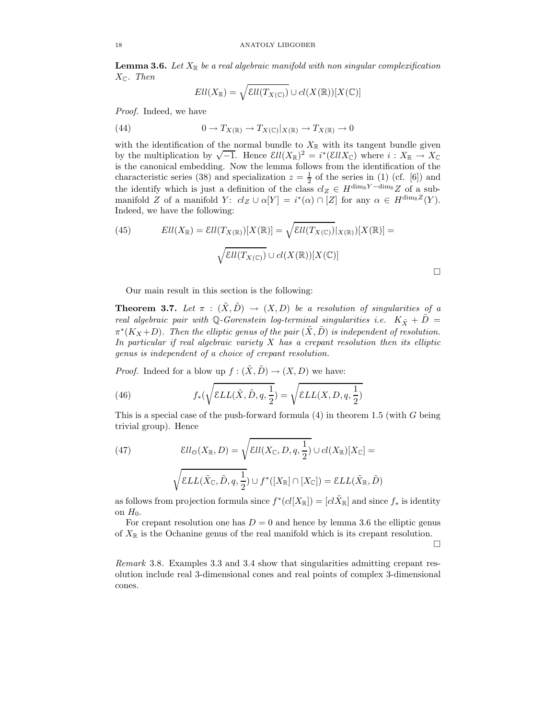**Lemma 3.6.** Let  $X_{\mathbb{R}}$  be a real algebraic manifold with non singular complexification  $X_{\mathbb{C}}$ . Then

$$
Ell(X_{\mathbb{R}})=\sqrt{Ell(T_{X(\mathbb{C})})}\cup cl(X(\mathbb{R}))[X(\mathbb{C})]
$$

Proof. Indeed, we have

(44) 
$$
0 \to T_{X(\mathbb{R})} \to T_{X(\mathbb{C})}|_{X(\mathbb{R})} \to T_{X(\mathbb{R})} \to 0
$$

with the identification of the normal bundle to  $X_{\mathbb{R}}$  with its tangent bundle given by the multiplication by  $\sqrt{-1}$ . Hence  $\mathcal{E}ll(X_{\mathbb{R}})^2 = i^*(\mathcal{E}llX_{\mathbb{C}})$  where  $i: X_{\mathbb{R}} \to X_{\mathbb{C}}$ is the canonical embedding. Now the lemma follows from the identification of the characteristic series (38) and specialization  $z = \frac{1}{2}$  of the series in (1) (cf. [6]) and the identify which is just a definition of the class  $cl_Z \in H^{\dim_{\mathbb{R}}Y - \dim_{\mathbb{R}}Z}$  of a submanifold Z of a manifold Y:  $cl_Z \cup \alpha[Y] = i^*(\alpha) \cap [Z]$  for any  $\alpha \in H^{\dim_{\mathbb{R}}Z}(Y)$ . Indeed, we have the following:

(45) 
$$
Ell(X_{\mathbb{R}}) = Ell(T_{X(\mathbb{R})})[X(\mathbb{R})] = \sqrt{Ell(T_{X(\mathbb{C})})|_{X(\mathbb{R})}}[X(\mathbb{R})] =
$$

$$
\sqrt{Ell(T_{X(\mathbb{C})})} \cup cl(X(\mathbb{R}))[X(\mathbb{C})]
$$

Our main result in this section is the following:

**Theorem 3.7.** Let  $\pi$  :  $(\tilde{X}, \tilde{D}) \rightarrow (X, D)$  be a resolution of singularities of a real algebraic pair with Q-Gorenstein log-terminal singularities i.e.  $K_{\tilde{X}} + \tilde{D} =$  $\pi^*(K_X+D)$ . Then the elliptic genus of the pair  $(\tilde{X}, \tilde{D})$  is independent of resolution. In particular if real algebraic variety  $X$  has a crepant resolution then its elliptic genus is independent of a choice of crepant resolution.

*Proof.* Indeed for a blow up  $f : (\tilde{X}, \tilde{D}) \to (X, D)$  we have:

(46) 
$$
f_*(\sqrt{\mathcal{E}LL(\tilde{X}, \tilde{D}, q, \frac{1}{2}}) = \sqrt{\mathcal{E}LL(X, D, q, \frac{1}{2})}
$$

This is a special case of the push-forward formula  $(4)$  in theorem 1.5 (with G being trivial group). Hence

(47) 
$$
\mathcal{E}ll_{\mathcal{O}}(X_{\mathbb{R}}, D) = \sqrt{\mathcal{E}ll(X_{\mathbb{C}}, D, q, \frac{1}{2})} \cup cl(X_{\mathbb{R}})[X_{\mathbb{C}}] =
$$

$$
\sqrt{\mathcal{E}LL(\tilde{X}_{\mathbb{C}}, \tilde{D}, q, \frac{1}{2})} \cup f^*([X_{\mathbb{R}}] \cap [X_{\mathbb{C}}]) = \mathcal{E}LL(\tilde{X}_{\mathbb{R}}, \tilde{D})
$$

as follows from projection formula since  $f^*(cl[X_{\mathbb{R}}]) = [cl\tilde{X}_{\mathbb{R}}]$  and since  $f_*$  is identity on  $H_0$ .

For crepant resolution one has  $D = 0$  and hence by lemma 3.6 the elliptic genus of  $X_{\mathbb{R}}$  is the Ochanine genus of the real manifold which is its crepant resolution.

 $\Box$ 

Remark 3.8. Examples 3.3 and 3.4 show that singularities admitting crepant resolution include real 3-dimensional cones and real points of complex 3-dimensional cones.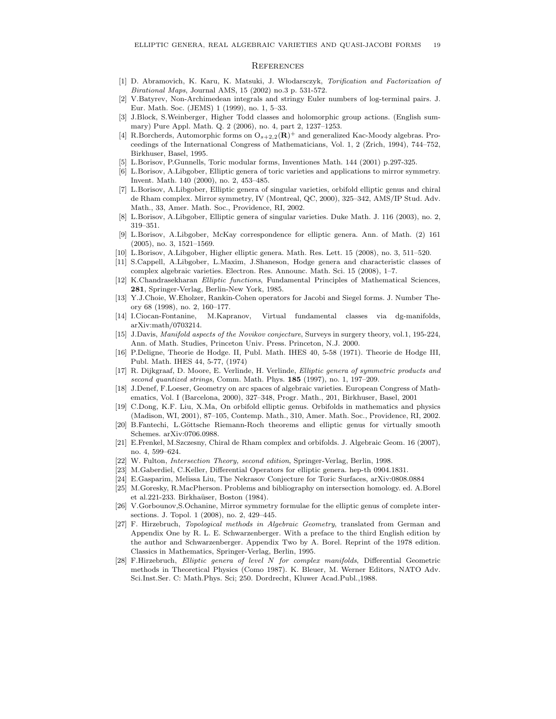#### **REFERENCES**

- [1] D. Abramovich, K. Karu, K. Matsuki, J. W!lodarsczyk, Torification and Factorization of Birational Maps, Journal AMS, 15 (2002) no.3 p. 531-572.
- [2] V.Batyrev, Non-Archimedean integrals and stringy Euler numbers of log-terminal pairs. J. Eur. Math. Soc. (JEMS) 1 (1999), no. 1, 5–33.
- [3] J.Block, S.Weinberger, Higher Todd classes and holomorphic group actions. (English summary) Pure Appl. Math. Q. 2 (2006), no. 4, part 2, 1237–1253.
- [4] R.Borcherds, Automorphic forms on  $O_{s+2,2}(\mathbf{R})^+$  and generalized Kac-Moody algebras. Proceedings of the International Congress of Mathematicians, Vol. 1, 2 (Zrich, 1994), 744–752, Birkhuser, Basel, 1995.
- [5] L.Borisov, P.Gunnells, Toric modular forms, Inventiones Math. 144 (2001) p.297-325.
- [6] L.Borisov, A.Libgober, Elliptic genera of toric varieties and applications to mirror symmetry. Invent. Math. 140 (2000), no. 2, 453–485.
- [7] L.Borisov, A.Libgober, Elliptic genera of singular varieties, orbifold elliptic genus and chiral de Rham complex. Mirror symmetry, IV (Montreal, QC, 2000), 325–342, AMS/IP Stud. Adv. Math., 33, Amer. Math. Soc., Providence, RI, 2002.
- [8] L.Borisov, A.Libgober, Elliptic genera of singular varieties. Duke Math. J. 116 (2003), no. 2, 319–351.
- [9] L.Borisov, A.Libgober, McKay correspondence for elliptic genera. Ann. of Math. (2) 161 (2005), no. 3, 1521–1569.
- [10] L.Borisov, A.Libgober, Higher elliptic genera. Math. Res. Lett. 15 (2008), no. 3, 511–520.
- [11] S.Cappell, A.Libgober, L.Maxim, J.Shaneson, Hodge genera and characteristic classes of complex algebraic varieties. Electron. Res. Announc. Math. Sci. 15 (2008), 1–7.
- [12] K.Chandrasekharan Elliptic functions, Fundamental Principles of Mathematical Sciences, 281, Springer-Verlag, Berlin-New York, 1985.
- [13] Y.J.Choie, W.Eholzer, Rankin-Cohen operators for Jacobi and Siegel forms. J. Number Theory 68 (1998), no. 2, 160–177.
- [14] I.Ciocan-Fontanine, M.Kapranov, Virtual fundamental classes via dg-manifolds, arXiv:math/0703214.
- [15] J.Davis, Manifold aspects of the Novikov conjecture, Surveys in surgery theory, vol.1, 195-224, Ann. of Math. Studies, Princeton Univ. Press. Princeton, N.J. 2000.
- [16] P.Deligne, Theorie de Hodge. II, Publ. Math. IHES 40, 5-58 (1971). Theorie de Hodge III, Publ. Math. IHES 44, 5-77, (1974)
- [17] R. Dijkgraaf, D. Moore, E. Verlinde, H. Verlinde, Elliptic genera of symmetric products and second quantized strings, Comm. Math. Phys. 185 (1997), no. 1, 197-209.
- [18] J.Denef, F.Loeser, Geometry on arc spaces of algebraic varieties. European Congress of Mathematics, Vol. I (Barcelona, 2000), 327–348, Progr. Math., 201, Birkhuser, Basel, 2001
- [19] C.Dong, K.F. Liu, X.Ma, On orbifold elliptic genus. Orbifolds in mathematics and physics (Madison, WI, 2001), 87–105, Contemp. Math., 310, Amer. Math. Soc., Providence, RI, 2002.
- [20] B.Fantechi, L.Göttsche Riemann-Roch theorems and elliptic genus for virtually smooth Schemes. arXiv:0706.0988.
- [21] E.Frenkel, M.Szczesny, Chiral de Rham complex and orbifolds. J. Algebraic Geom. 16 (2007), no. 4, 599–624.
- [22] W. Fulton, Intersection Theory, second edition, Springer-Verlag, Berlin, 1998.
- [23] M.Gaberdiel, C.Keller, Differential Operators for elliptic genera. hep-th 0904.1831.
- [24] E.Gasparim, Melissa Liu, The Nekrasov Conjecture for Toric Surfaces, arXiv:0808.0884
- [25] M.Goresky, R.MacPherson. Problems and bibliography on intersection homology. ed. A.Borel et al.221-233. Birkhaüser, Boston (1984).
- [26] V.Gorbounov,S.Ochanine, Mirror symmetry formulae for the elliptic genus of complete intersections. J. Topol. 1 (2008), no. 2, 429–445.
- [27] F. Hirzebruch, Topological methods in Algebraic Geometry, translated from German and Appendix One by R. L. E. Schwarzenberger. With a preface to the third English edition by the author and Schwarzenberger. Appendix Two by A. Borel. Reprint of the 1978 edition. Classics in Mathematics, Springer-Verlag, Berlin, 1995.
- [28] F.Hirzebruch, Elliptic genera of level N for complex manifolds, Differential Geometric methods in Theoretical Physics (Como 1987). K. Bleuer, M. Werner Editors, NATO Adv. Sci.Inst.Ser. C: Math.Phys. Sci; 250. Dordrecht, Kluwer Acad.Publ.,1988.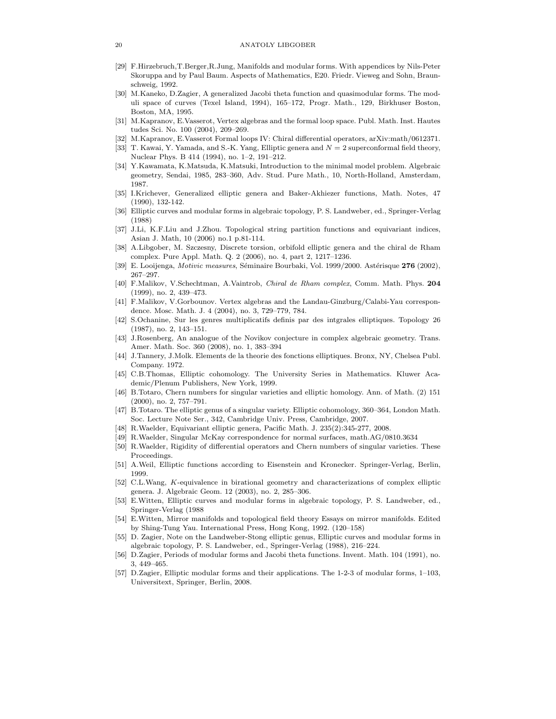- [29] F.Hirzebruch,T.Berger,R.Jung, Manifolds and modular forms. With appendices by Nils-Peter Skoruppa and by Paul Baum. Aspects of Mathematics, E20. Friedr. Vieweg and Sohn, Braunschweig, 1992.
- [30] M.Kaneko, D.Zagier, A generalized Jacobi theta function and quasimodular forms. The moduli space of curves (Texel Island, 1994), 165–172, Progr. Math., 129, Birkhuser Boston, Boston, MA, 1995.
- [31] M.Kapranov, E.Vasserot, Vertex algebras and the formal loop space. Publ. Math. Inst. Hautes tudes Sci. No. 100 (2004), 209–269.
- [32] M.Kapranov, E.Vasserot Formal loops IV: Chiral differential operators, arXiv:math/0612371.
- T. Kawai, Y. Yamada, and S.-K. Yang, Elliptic genera and  $N = 2$  superconformal field theory, Nuclear Phys. B 414 (1994), no. 1–2, 191–212.
- [34] Y.Kawamata, K.Matsuda, K.Matsuki, Introduction to the minimal model problem. Algebraic geometry, Sendai, 1985, 283–360, Adv. Stud. Pure Math., 10, North-Holland, Amsterdam, 1987.
- [35] I.Krichever, Generalized elliptic genera and Baker-Akhiezer functions, Math. Notes, 47 (1990), 132-142.
- [36] Elliptic curves and modular forms in algebraic topology, P. S. Landweber, ed., Springer-Verlag (1988)
- [37] J.Li, K.F.Liu and J.Zhou. Topological string partition functions and equivariant indices, Asian J. Math, 10 (2006) no.1 p.81-114.
- [38] A.Libgober, M. Szczesny, Discrete torsion, orbifold elliptic genera and the chiral de Rham complex. Pure Appl. Math. Q. 2 (2006), no. 4, part 2, 1217–1236.
- [39] E. Looijenga, Motivic measures, Séminaire Bourbaki, Vol. 1999/2000. Astérisque 276 (2002), 267–297.
- [40] F.Malikov, V.Schechtman, A.Vaintrob, Chiral de Rham complex, Comm. Math. Phys. 204 (1999), no. 2, 439–473.
- [41] F.Malikov, V.Gorbounov. Vertex algebras and the Landau-Ginzburg/Calabi-Yau correspondence. Mosc. Math. J. 4 (2004), no. 3, 729–779, 784.
- [42] S.Ochanine, Sur les genres multiplicatifs definis par des intgrales elliptiques. Topology 26 (1987), no. 2, 143–151.
- [43] J.Rosenberg, An analogue of the Novikov conjecture in complex algebraic geometry. Trans. Amer. Math. Soc. 360 (2008), no. 1, 383–394
- [44] J.Tannery, J.Molk. Elements de la theorie des fonctions elliptiques. Bronx, NY, Chelsea Publ. Company. 1972.
- [45] C.B.Thomas, Elliptic cohomology. The University Series in Mathematics. Kluwer Academic/Plenum Publishers, New York, 1999.
- [46] B.Totaro, Chern numbers for singular varieties and elliptic homology. Ann. of Math. (2) 151 (2000), no. 2, 757–791.
- [47] B.Totaro. The elliptic genus of a singular variety. Elliptic cohomology, 360–364, London Math. Soc. Lecture Note Ser., 342, Cambridge Univ. Press, Cambridge, 2007.
- [48] R.Waelder, Equivariant elliptic genera, Pacific Math. J. 235(2):345-277, 2008.
- [49] R.Waelder, Singular McKay correspondence for normal surfaces, math.AG/0810.3634
- [50] R.Waelder, Rigidity of differential operators and Chern numbers of singular varieties. These Proceedings.
- [51] A.Weil, Elliptic functions according to Eisenstein and Kronecker. Springer-Verlag, Berlin, 1999.
- [52] C.L.Wang, K-equivalence in birational geometry and characterizations of complex elliptic genera. J. Algebraic Geom. 12 (2003), no. 2, 285–306.
- [53] E.Witten, Elliptic curves and modular forms in algebraic topology, P. S. Landweber, ed., Springer-Verlag (1988
- [54] E.Witten, Mirror manifolds and topological field theory Essays on mirror manifolds. Edited by Shing-Tung Yau. International Press, Hong Kong, 1992. (120–158)
- [55] D. Zagier, Note on the Landweber-Stong elliptic genus, Elliptic curves and modular forms in algebraic topology, P. S. Landweber, ed., Springer-Verlag (1988), 216–224.
- [56] D.Zagier, Periods of modular forms and Jacobi theta functions. Invent. Math. 104 (1991), no. 3, 449–465.
- [57] D.Zagier, Elliptic modular forms and their applications. The 1-2-3 of modular forms, 1–103, Universitext, Springer, Berlin, 2008.